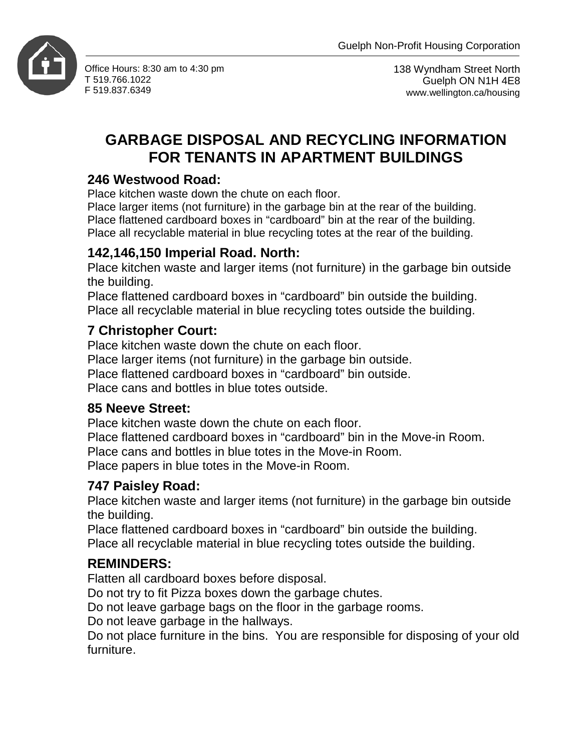

Office Hours: 8:30 am to 4:30 pm T 519.766.1022 F 519.837.6349

138 Wyndham Street North Guelph ON N1H 4E8 www.wellington.ca/housing

# **GARBAGE DISPOSAL AND RECYCLING INFORMATION FOR TENANTS IN APARTMENT BUILDINGS**

## **246 Westwood Road:**

Place kitchen waste down the chute on each floor.

Place larger items (not furniture) in the garbage bin at the rear of the building. Place flattened cardboard boxes in "cardboard" bin at the rear of the building. Place all recyclable material in blue recycling totes at the rear of the building.

## **142,146,150 Imperial Road. North:**

Place kitchen waste and larger items (not furniture) in the garbage bin outside the building.

Place flattened cardboard boxes in "cardboard" bin outside the building. Place all recyclable material in blue recycling totes outside the building.

## **7 Christopher Court:**

Place kitchen waste down the chute on each floor. Place larger items (not furniture) in the garbage bin outside. Place flattened cardboard boxes in "cardboard" bin outside. Place cans and bottles in blue totes outside.

## **85 Neeve Street:**

Place kitchen waste down the chute on each floor.

Place flattened cardboard boxes in "cardboard" bin in the Move-in Room. Place cans and bottles in blue totes in the Move-in Room. Place papers in blue totes in the Move-in Room.

## **747 Paisley Road:**

Place kitchen waste and larger items (not furniture) in the garbage bin outside the building.

Place flattened cardboard boxes in "cardboard" bin outside the building. Place all recyclable material in blue recycling totes outside the building.

## **REMINDERS:**

Flatten all cardboard boxes before disposal.

Do not try to fit Pizza boxes down the garbage chutes.

Do not leave garbage bags on the floor in the garbage rooms.

Do not leave garbage in the hallways.

Do not place furniture in the bins. You are responsible for disposing of your old furniture.